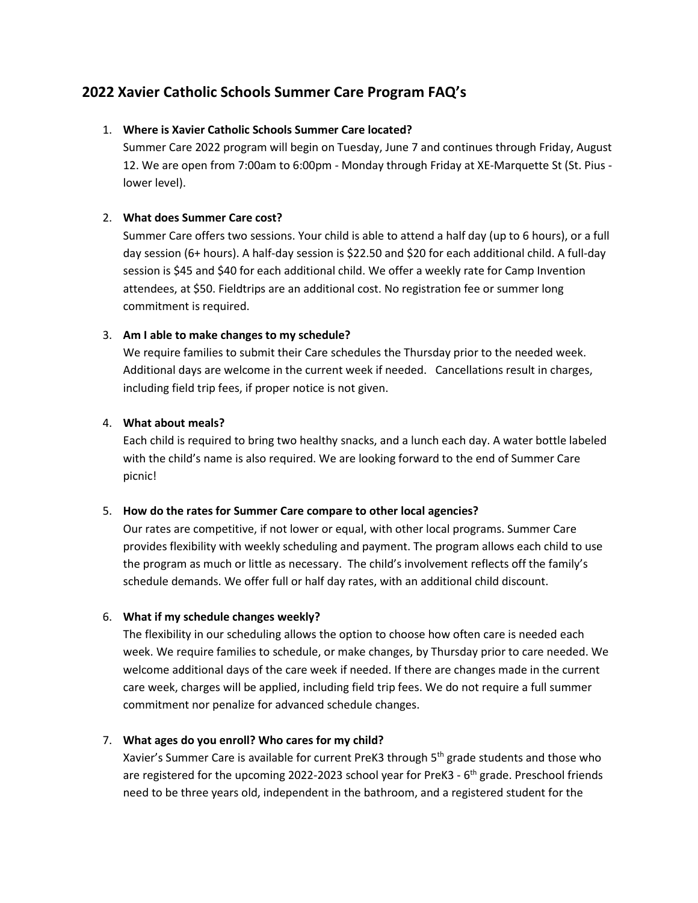# **2022 Xavier Catholic Schools Summer Care Program FAQ's**

### 1. **Where is Xavier Catholic Schools Summer Care located?**

Summer Care 2022 program will begin on Tuesday, June 7 and continues through Friday, August 12. We are open from 7:00am to 6:00pm - Monday through Friday at XE-Marquette St (St. Pius lower level).

# 2. **What does Summer Care cost?**

Summer Care offers two sessions. Your child is able to attend a half day (up to 6 hours), or a full day session (6+ hours). A half-day session is \$22.50 and \$20 for each additional child. A full-day session is \$45 and \$40 for each additional child. We offer a weekly rate for Camp Invention attendees, at \$50. Fieldtrips are an additional cost. No registration fee or summer long commitment is required.

# 3. **Am I able to make changes to my schedule?**

We require families to submit their Care schedules the Thursday prior to the needed week. Additional days are welcome in the current week if needed. Cancellations result in charges, including field trip fees, if proper notice is not given.

# 4. **What about meals?**

Each child is required to bring two healthy snacks, and a lunch each day. A water bottle labeled with the child's name is also required. We are looking forward to the end of Summer Care picnic!

### 5. **How do the rates for Summer Care compare to other local agencies?**

Our rates are competitive, if not lower or equal, with other local programs. Summer Care provides flexibility with weekly scheduling and payment. The program allows each child to use the program as much or little as necessary. The child's involvement reflects off the family's schedule demands. We offer full or half day rates, with an additional child discount.

### 6. **What if my schedule changes weekly?**

The flexibility in our scheduling allows the option to choose how often care is needed each week. We require families to schedule, or make changes, by Thursday prior to care needed. We welcome additional days of the care week if needed. If there are changes made in the current care week, charges will be applied, including field trip fees. We do not require a full summer commitment nor penalize for advanced schedule changes.

# 7. **What ages do you enroll? Who cares for my child?**

Xavier's Summer Care is available for current PreK3 through 5<sup>th</sup> grade students and those who are registered for the upcoming 2022-2023 school year for PreK3 - 6<sup>th</sup> grade. Preschool friends need to be three years old, independent in the bathroom, and a registered student for the